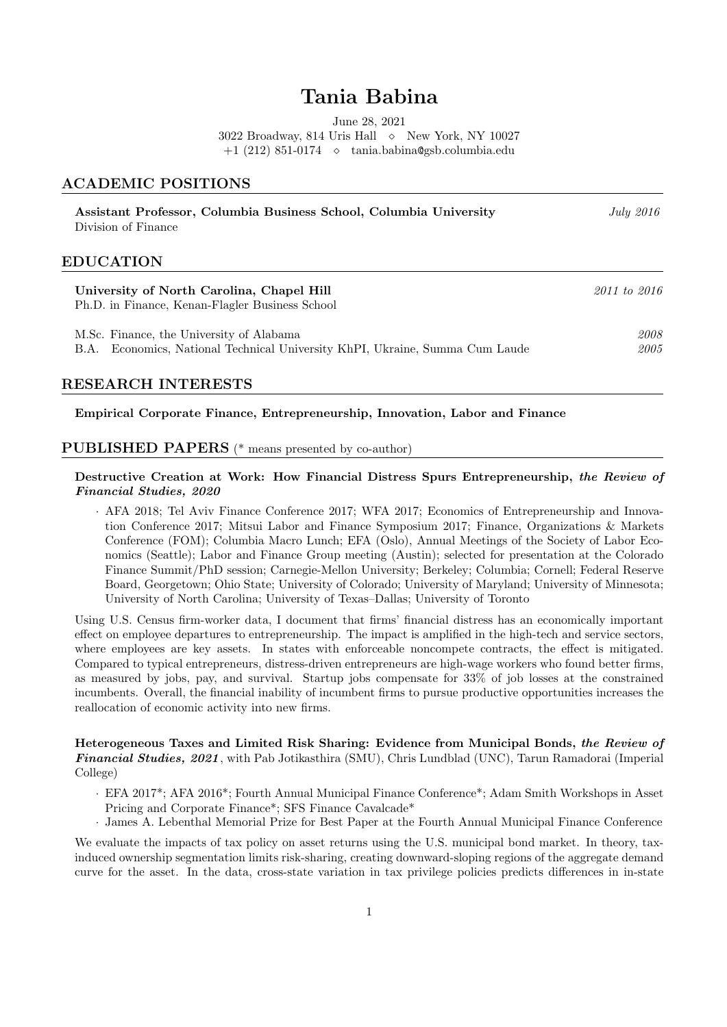# Tania Babina

June 28, 2021

3022 Broadway, 814 Uris Hall  $\Diamond$  New York, NY 10027

 $+1$  (212) 851-0174  $\diamond$  tania.babina@gsb.columbia.edu

# ACADEMIC POSITIONS

| Assistant Professor, Columbia Business School, Columbia University<br>Division of Finance                                   | July 2016    |
|-----------------------------------------------------------------------------------------------------------------------------|--------------|
| <b>EDUCATION</b>                                                                                                            |              |
| University of North Carolina, Chapel Hill<br>Ph.D. in Finance, Kenan-Flagler Business School                                | 2011 to 2016 |
| M.Sc. Finance, the University of Alabama<br>Economics, National Technical University KhPI, Ukraine, Summa Cum Laude<br>B.A. | 2008<br>2005 |

# RESEARCH INTERESTS

#### Empirical Corporate Finance, Entrepreneurship, Innovation, Labor and Finance

# PUBLISHED PAPERS (\* means presented by co-author)

# Destructive Creation at Work: How Financial Distress Spurs Entrepreneurship, the Review of Financial Studies, 2020

· AFA 2018; Tel Aviv Finance Conference 2017; WFA 2017; Economics of Entrepreneurship and Innovation Conference 2017; Mitsui Labor and Finance Symposium 2017; Finance, Organizations & Markets Conference (FOM); Columbia Macro Lunch; EFA (Oslo), Annual Meetings of the Society of Labor Economics (Seattle); Labor and Finance Group meeting (Austin); selected for presentation at the Colorado Finance Summit/PhD session; Carnegie-Mellon University; Berkeley; Columbia; Cornell; Federal Reserve Board, Georgetown; Ohio State; University of Colorado; University of Maryland; University of Minnesota; University of North Carolina; University of Texas–Dallas; University of Toronto

Using U.S. Census firm-worker data, I document that firms' financial distress has an economically important effect on employee departures to entrepreneurship. The impact is amplified in the high-tech and service sectors, where employees are key assets. In states with enforceable noncompete contracts, the effect is mitigated. Compared to typical entrepreneurs, distress-driven entrepreneurs are high-wage workers who found better firms, as measured by jobs, pay, and survival. Startup jobs compensate for 33% of job losses at the constrained incumbents. Overall, the financial inability of incumbent firms to pursue productive opportunities increases the reallocation of economic activity into new firms.

Heterogeneous Taxes and Limited Risk Sharing: Evidence from Municipal Bonds, the Review of Financial Studies, 2021, with Pab Jotikasthira (SMU), Chris Lundblad (UNC), Tarun Ramadorai (Imperial College)

- · EFA 2017\*; AFA 2016\*; Fourth Annual Municipal Finance Conference\*; Adam Smith Workshops in Asset
- Pricing and Corporate Finance\*; SFS Finance Cavalcade\*
- · James A. Lebenthal Memorial Prize for Best Paper at the Fourth Annual Municipal Finance Conference

We evaluate the impacts of tax policy on asset returns using the U.S. municipal bond market. In theory, taxinduced ownership segmentation limits risk-sharing, creating downward-sloping regions of the aggregate demand curve for the asset. In the data, cross-state variation in tax privilege policies predicts differences in in-state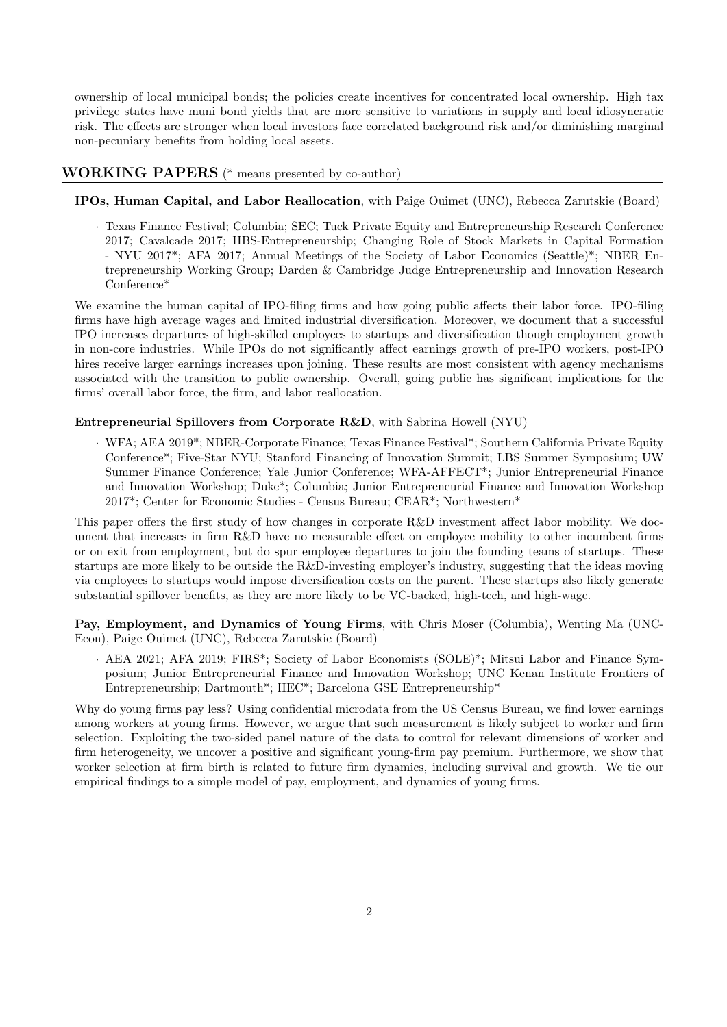ownership of local municipal bonds; the policies create incentives for concentrated local ownership. High tax privilege states have muni bond yields that are more sensitive to variations in supply and local idiosyncratic risk. The effects are stronger when local investors face correlated background risk and/or diminishing marginal non-pecuniary benefits from holding local assets.

### WORKING PAPERS (\* means presented by co-author)

#### IPOs, Human Capital, and Labor Reallocation, with Paige Ouimet (UNC), Rebecca Zarutskie (Board)

· Texas Finance Festival; Columbia; SEC; Tuck Private Equity and Entrepreneurship Research Conference 2017; Cavalcade 2017; HBS-Entrepreneurship; Changing Role of Stock Markets in Capital Formation - NYU 2017\*; AFA 2017; Annual Meetings of the Society of Labor Economics (Seattle)\*; NBER Entrepreneurship Working Group; Darden & Cambridge Judge Entrepreneurship and Innovation Research Conference\*

We examine the human capital of IPO-filing firms and how going public affects their labor force. IPO-filing firms have high average wages and limited industrial diversification. Moreover, we document that a successful IPO increases departures of high-skilled employees to startups and diversification though employment growth in non-core industries. While IPOs do not significantly affect earnings growth of pre-IPO workers, post-IPO hires receive larger earnings increases upon joining. These results are most consistent with agency mechanisms associated with the transition to public ownership. Overall, going public has significant implications for the firms' overall labor force, the firm, and labor reallocation.

#### Entrepreneurial Spillovers from Corporate R&D, with Sabrina Howell (NYU)

· WFA; AEA 2019\*; NBER-Corporate Finance; Texas Finance Festival\*; Southern California Private Equity Conference\*; Five-Star NYU; Stanford Financing of Innovation Summit; LBS Summer Symposium; UW Summer Finance Conference; Yale Junior Conference; WFA-AFFECT\*; Junior Entrepreneurial Finance and Innovation Workshop; Duke\*; Columbia; Junior Entrepreneurial Finance and Innovation Workshop 2017\*; Center for Economic Studies - Census Bureau; CEAR\*; Northwestern\*

This paper offers the first study of how changes in corporate R&D investment affect labor mobility. We document that increases in firm R&D have no measurable effect on employee mobility to other incumbent firms or on exit from employment, but do spur employee departures to join the founding teams of startups. These startups are more likely to be outside the R&D-investing employer's industry, suggesting that the ideas moving via employees to startups would impose diversification costs on the parent. These startups also likely generate substantial spillover benefits, as they are more likely to be VC-backed, high-tech, and high-wage.

Pay, Employment, and Dynamics of Young Firms, with Chris Moser (Columbia), Wenting Ma (UNC-Econ), Paige Ouimet (UNC), Rebecca Zarutskie (Board)

· AEA 2021; AFA 2019; FIRS\*; Society of Labor Economists (SOLE)\*; Mitsui Labor and Finance Symposium; Junior Entrepreneurial Finance and Innovation Workshop; UNC Kenan Institute Frontiers of Entrepreneurship; Dartmouth<sup>\*</sup>; HEC<sup>\*</sup>; Barcelona GSE Entrepreneurship<sup>\*</sup>

Why do young firms pay less? Using confidential microdata from the US Census Bureau, we find lower earnings among workers at young firms. However, we argue that such measurement is likely subject to worker and firm selection. Exploiting the two-sided panel nature of the data to control for relevant dimensions of worker and firm heterogeneity, we uncover a positive and significant young-firm pay premium. Furthermore, we show that worker selection at firm birth is related to future firm dynamics, including survival and growth. We tie our empirical findings to a simple model of pay, employment, and dynamics of young firms.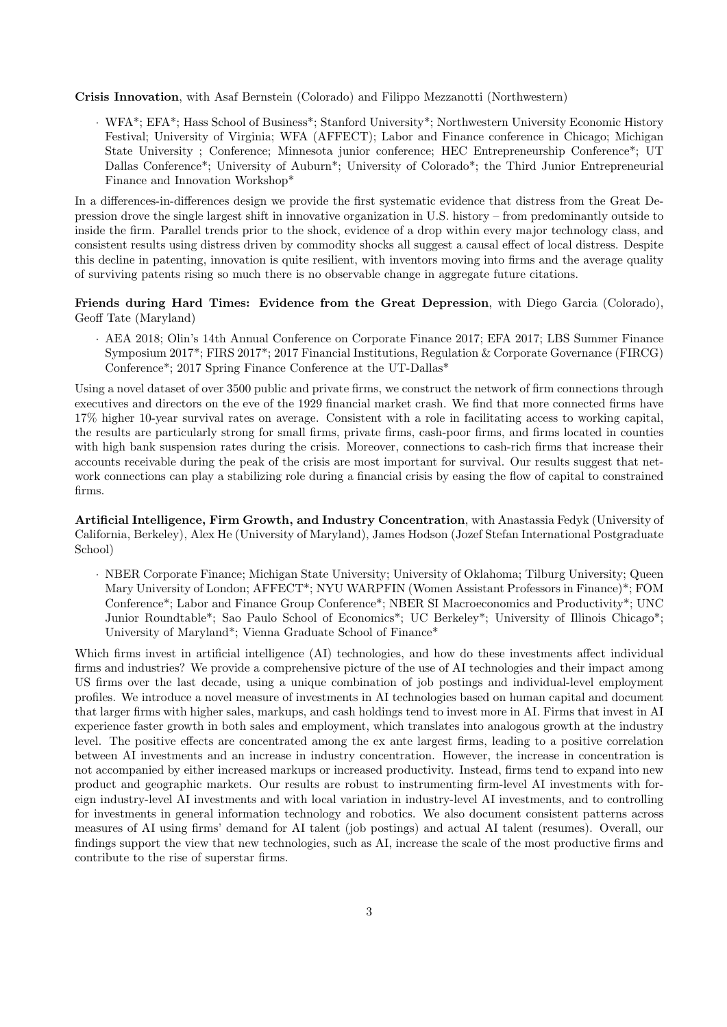Crisis Innovation, with Asaf Bernstein (Colorado) and Filippo Mezzanotti (Northwestern)

· WFA\*; EFA\*; Hass School of Business\*; Stanford University\*; Northwestern University Economic History Festival; University of Virginia; WFA (AFFECT); Labor and Finance conference in Chicago; Michigan State University ; Conference; Minnesota junior conference; HEC Entrepreneurship Conference\*; UT Dallas Conference\*; University of Auburn\*; University of Colorado\*; the Third Junior Entrepreneurial Finance and Innovation Workshop\*

In a differences-in-differences design we provide the first systematic evidence that distress from the Great Depression drove the single largest shift in innovative organization in U.S. history – from predominantly outside to inside the firm. Parallel trends prior to the shock, evidence of a drop within every major technology class, and consistent results using distress driven by commodity shocks all suggest a causal effect of local distress. Despite this decline in patenting, innovation is quite resilient, with inventors moving into firms and the average quality of surviving patents rising so much there is no observable change in aggregate future citations.

Friends during Hard Times: Evidence from the Great Depression, with Diego Garcia (Colorado), Geoff Tate (Maryland)

· AEA 2018; Olin's 14th Annual Conference on Corporate Finance 2017; EFA 2017; LBS Summer Finance Symposium 2017\*; FIRS 2017\*; 2017 Financial Institutions, Regulation & Corporate Governance (FIRCG) Conference\*; 2017 Spring Finance Conference at the UT-Dallas\*

Using a novel dataset of over 3500 public and private firms, we construct the network of firm connections through executives and directors on the eve of the 1929 financial market crash. We find that more connected firms have 17% higher 10-year survival rates on average. Consistent with a role in facilitating access to working capital, the results are particularly strong for small firms, private firms, cash-poor firms, and firms located in counties with high bank suspension rates during the crisis. Moreover, connections to cash-rich firms that increase their accounts receivable during the peak of the crisis are most important for survival. Our results suggest that network connections can play a stabilizing role during a financial crisis by easing the flow of capital to constrained firms.

Artificial Intelligence, Firm Growth, and Industry Concentration, with Anastassia Fedyk (University of California, Berkeley), Alex He (University of Maryland), James Hodson (Jozef Stefan International Postgraduate School)

· NBER Corporate Finance; Michigan State University; University of Oklahoma; Tilburg University; Queen Mary University of London; AFFECT\*; NYU WARPFIN (Women Assistant Professors in Finance)\*; FOM Conference\*; Labor and Finance Group Conference\*; NBER SI Macroeconomics and Productivity\*; UNC Junior Roundtable\*; Sao Paulo School of Economics\*; UC Berkeley\*; University of Illinois Chicago\*; University of Maryland\*; Vienna Graduate School of Finance\*

Which firms invest in artificial intelligence (AI) technologies, and how do these investments affect individual firms and industries? We provide a comprehensive picture of the use of AI technologies and their impact among US firms over the last decade, using a unique combination of job postings and individual-level employment profiles. We introduce a novel measure of investments in AI technologies based on human capital and document that larger firms with higher sales, markups, and cash holdings tend to invest more in AI. Firms that invest in AI experience faster growth in both sales and employment, which translates into analogous growth at the industry level. The positive effects are concentrated among the ex ante largest firms, leading to a positive correlation between AI investments and an increase in industry concentration. However, the increase in concentration is not accompanied by either increased markups or increased productivity. Instead, firms tend to expand into new product and geographic markets. Our results are robust to instrumenting firm-level AI investments with foreign industry-level AI investments and with local variation in industry-level AI investments, and to controlling for investments in general information technology and robotics. We also document consistent patterns across measures of AI using firms' demand for AI talent (job postings) and actual AI talent (resumes). Overall, our findings support the view that new technologies, such as AI, increase the scale of the most productive firms and contribute to the rise of superstar firms.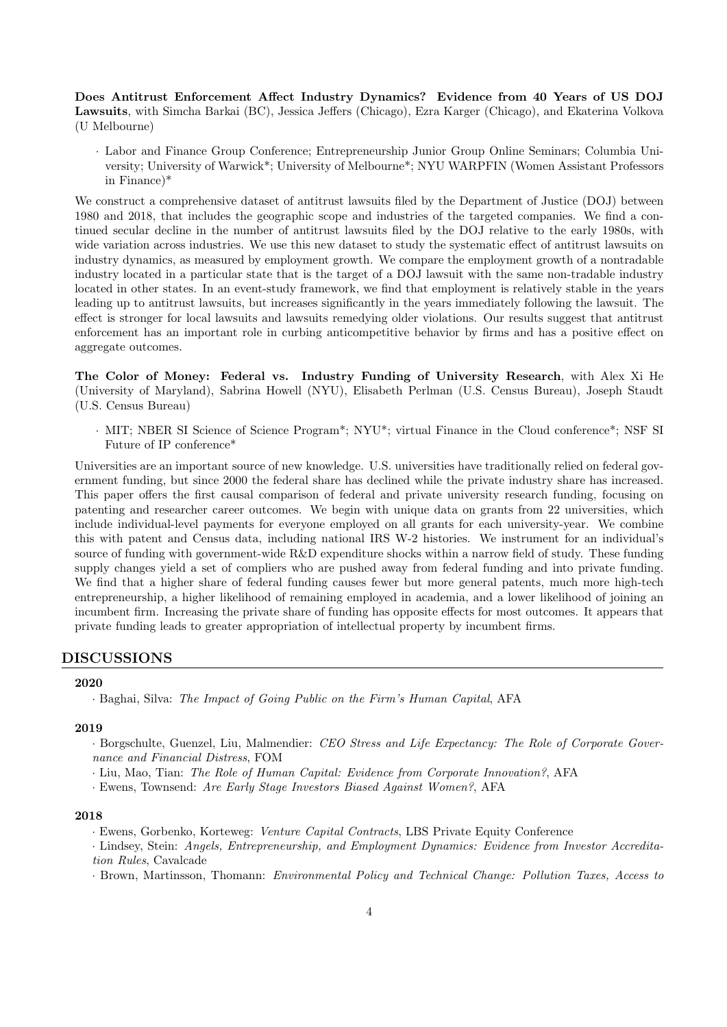Does Antitrust Enforcement Affect Industry Dynamics? Evidence from 40 Years of US DOJ Lawsuits, with Simcha Barkai (BC), Jessica Jeffers (Chicago), Ezra Karger (Chicago), and Ekaterina Volkova (U Melbourne)

· Labor and Finance Group Conference; Entrepreneurship Junior Group Online Seminars; Columbia University; University of Warwick\*; University of Melbourne\*; NYU WARPFIN (Women Assistant Professors in Finance)\*

We construct a comprehensive dataset of antitrust lawsuits filed by the Department of Justice (DOJ) between 1980 and 2018, that includes the geographic scope and industries of the targeted companies. We find a continued secular decline in the number of antitrust lawsuits filed by the DOJ relative to the early 1980s, with wide variation across industries. We use this new dataset to study the systematic effect of antitrust lawsuits on industry dynamics, as measured by employment growth. We compare the employment growth of a nontradable industry located in a particular state that is the target of a DOJ lawsuit with the same non-tradable industry located in other states. In an event-study framework, we find that employment is relatively stable in the years leading up to antitrust lawsuits, but increases significantly in the years immediately following the lawsuit. The effect is stronger for local lawsuits and lawsuits remedying older violations. Our results suggest that antitrust enforcement has an important role in curbing anticompetitive behavior by firms and has a positive effect on aggregate outcomes.

The Color of Money: Federal vs. Industry Funding of University Research, with Alex Xi He (University of Maryland), Sabrina Howell (NYU), Elisabeth Perlman (U.S. Census Bureau), Joseph Staudt (U.S. Census Bureau)

· MIT; NBER SI Science of Science Program\*; NYU\*; virtual Finance in the Cloud conference\*; NSF SI Future of IP conference\*

Universities are an important source of new knowledge. U.S. universities have traditionally relied on federal government funding, but since 2000 the federal share has declined while the private industry share has increased. This paper offers the first causal comparison of federal and private university research funding, focusing on patenting and researcher career outcomes. We begin with unique data on grants from 22 universities, which include individual-level payments for everyone employed on all grants for each university-year. We combine this with patent and Census data, including national IRS W-2 histories. We instrument for an individual's source of funding with government-wide R&D expenditure shocks within a narrow field of study. These funding supply changes yield a set of compliers who are pushed away from federal funding and into private funding. We find that a higher share of federal funding causes fewer but more general patents, much more high-tech entrepreneurship, a higher likelihood of remaining employed in academia, and a lower likelihood of joining an incumbent firm. Increasing the private share of funding has opposite effects for most outcomes. It appears that private funding leads to greater appropriation of intellectual property by incumbent firms.

# DISCUSSIONS

#### 2020

#### 2019

- · Borgschulte, Guenzel, Liu, Malmendier: CEO Stress and Life Expectancy: The Role of Corporate Governance and Financial Distress, FOM
- · Liu, Mao, Tian: The Role of Human Capital: Evidence from Corporate Innovation?, AFA
- · Ewens, Townsend: Are Early Stage Investors Biased Against Women?, AFA

#### 2018

- · Ewens, Gorbenko, Korteweg: Venture Capital Contracts, LBS Private Equity Conference
- · Lindsey, Stein: Angels, Entrepreneurship, and Employment Dynamics: Evidence from Investor Accreditation Rules, Cavalcade
- · Brown, Martinsson, Thomann: Environmental Policy and Technical Change: Pollution Taxes, Access to

<sup>·</sup> Baghai, Silva: The Impact of Going Public on the Firm's Human Capital, AFA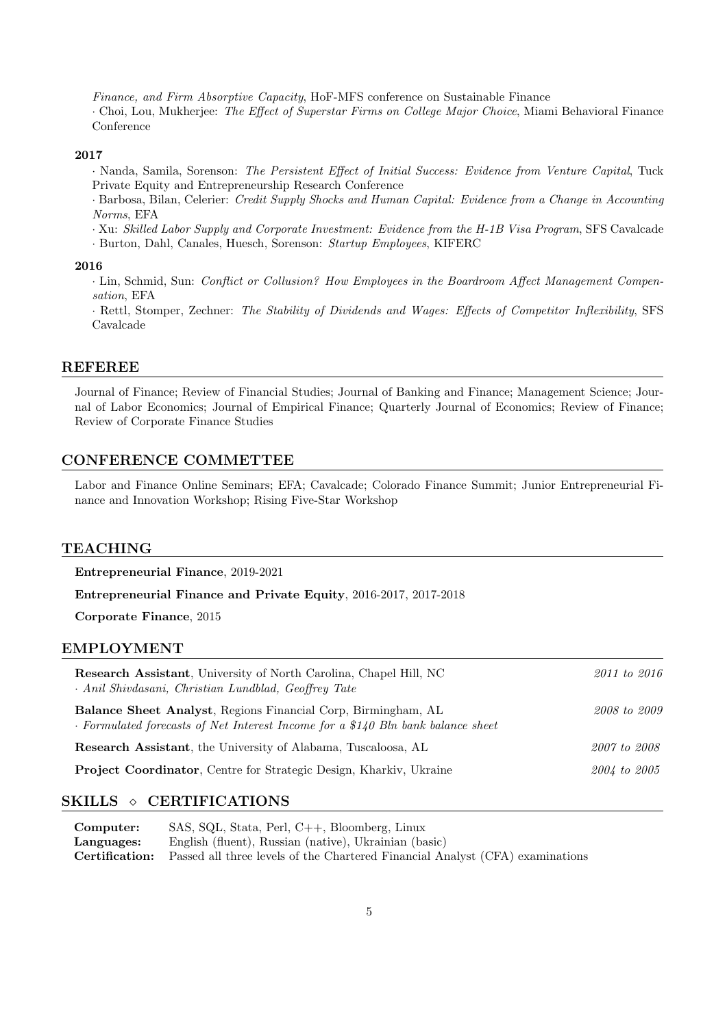Finance, and Firm Absorptive Capacity, HoF-MFS conference on Sustainable Finance · Choi, Lou, Mukherjee: The Effect of Superstar Firms on College Major Choice, Miami Behavioral Finance Conference

### 2017

· Nanda, Samila, Sorenson: The Persistent Effect of Initial Success: Evidence from Venture Capital, Tuck Private Equity and Entrepreneurship Research Conference

· Barbosa, Bilan, Celerier: Credit Supply Shocks and Human Capital: Evidence from a Change in Accounting Norms, EFA

· Xu: Skilled Labor Supply and Corporate Investment: Evidence from the H-1B Visa Program, SFS Cavalcade

· Burton, Dahl, Canales, Huesch, Sorenson: Startup Employees, KIFERC

#### 2016

· Lin, Schmid, Sun: Conflict or Collusion? How Employees in the Boardroom Affect Management Compensation, EFA

· Rettl, Stomper, Zechner: The Stability of Dividends and Wages: Effects of Competitor Inflexibility, SFS Cavalcade

# REFEREE

Journal of Finance; Review of Financial Studies; Journal of Banking and Finance; Management Science; Journal of Labor Economics; Journal of Empirical Finance; Quarterly Journal of Economics; Review of Finance; Review of Corporate Finance Studies

# CONFERENCE COMMETTEE

Labor and Finance Online Seminars; EFA; Cavalcade; Colorado Finance Summit; Junior Entrepreneurial Finance and Innovation Workshop; Rising Five-Star Workshop

# TEACHING

Entrepreneurial Finance, 2019-2021

Entrepreneurial Finance and Private Equity, 2016-2017, 2017-2018

Corporate Finance, 2015

### EMPLOYMENT

| <b>Research Assistant</b> , University of North Carolina, Chapel Hill, NC<br>· Anil Shivdasani, Christian Lundblad, Geoffrey Tate                 | 2011 to 2016 |
|---------------------------------------------------------------------------------------------------------------------------------------------------|--------------|
| Balance Sheet Analyst, Regions Financial Corp, Birmingham, AL<br>· Formulated forecasts of Net Interest Income for a \$140 Bln bank balance sheet | 2008 to 2009 |
| <b>Research Assistant</b> , the University of Alabama, Tuscaloosa, AL                                                                             | 2007 to 2008 |
| <b>Project Coordinator, Centre for Strategic Design, Kharkiv, Ukraine</b>                                                                         | 2004 to 2005 |

# SKILLS  $\Diamond$  CERTIFICATIONS

| Computer:  | SAS, SQL, Stata, Perl, C++, Bloomberg, Linux                                                        |
|------------|-----------------------------------------------------------------------------------------------------|
| Languages: | English (fluent), Russian (native), Ukrainian (basic)                                               |
|            | <b>Certification:</b> Passed all three levels of the Chartered Financial Analyst (CFA) examinations |